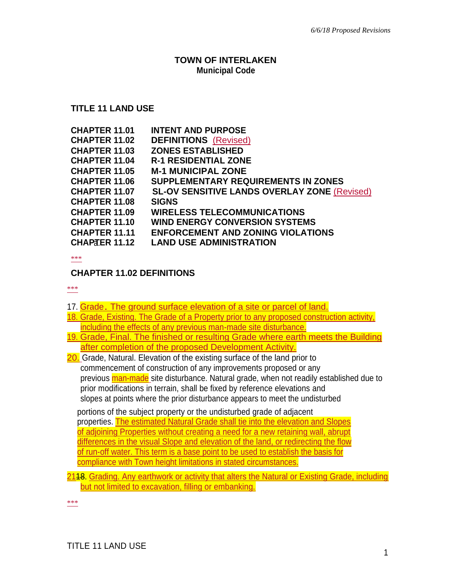#### **TOWN OF INTERLAKEN Municipal Code**

### **TITLE 11 LAND USE**

| <b>CHAPTER 11.01</b> | <b>INTENT AND PURPOSE</b>                           |
|----------------------|-----------------------------------------------------|
| <b>CHAPTER 11.02</b> | <b>DEFINITIONS</b> (Revised)                        |
| <b>CHAPTER 11.03</b> | <b>ZONES ESTABLISHED</b>                            |
| <b>CHAPTER 11.04</b> | <b>R-1 RESIDENTIAL ZONE</b>                         |
| <b>CHAPTER 11.05</b> | <b>M-1 MUNICIPAL ZONE</b>                           |
| <b>CHAPTER 11.06</b> | <b>SUPPLEMENTARY REQUIREMENTS IN ZONES</b>          |
| <b>CHAPTER 11.07</b> | <b>SL-OV SENSITIVE LANDS OVERLAY ZONE (Revised)</b> |
| <b>CHAPTER 11.08</b> | <b>SIGNS</b>                                        |
| <b>CHAPTER 11.09</b> | <b>WIRELESS TELECOMMUNICATIONS</b>                  |
| <b>CHAPTER 11.10</b> | <b>WIND ENERGY CONVERSION SYSTEMS</b>               |
| <b>CHAPTER 11.11</b> | <b>ENFORCEMENT AND ZONING VIOLATIONS</b>            |
| <b>CHAPTER 11.12</b> | <b>LAND USE ADMINISTRATION</b>                      |

\*\*\*

### **CHAPTER 11.02 DEFINITIONS**

\*\*\*

17. Grade. The ground surface elevation of a site or parcel of land.

- 18. Grade, Existing. The Grade of a Property prior to any proposed construction activity, including the effects of any previous man-made site disturbance.
- 19. Grade, Final. The finished or resulting Grade where earth meets the Building after completion of the proposed Development Activity.
- 20. Grade, Natural. Elevation of the existing surface of the land prior to commencement of construction of any improvements proposed or any previous man-made site disturbance. Natural grade, when not readily established due to prior modifications in terrain, shall be fixed by reference elevations and slopes at points where the prior disturbance appears to meet the undisturbed

portions of the subject property or the undisturbed grade of adjacent properties. The estimated Natural Grade shall tie into the elevation and Slopes of adjoining Properties without creating a need for a new retaining wall, abrupt differences in the visual Slope and elevation of the land, or redirecting the flow of run-off water. This term is a base point to be used to establish the basis for compliance with Town height limitations in stated circumstances.

2118. Grading. Any earthwork or activity that alters the Natural or Existing Grade, including but not limited to excavation, filling or embanking.

\*\*\*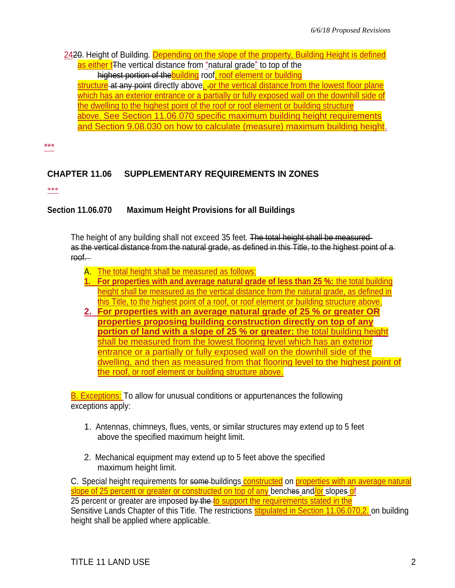2420. Height of Building. Depending on the slope of the property, Building Height is defined as either t<sub>The vertical distance from "natural grade" to top of the</sub> highest portion of the building roof, roof element or building structure at any point directly above, or the vertical distance from the lowest floor plane which has an exterior entrance or a partially or fully exposed wall on the downhill side of the dwelling to the highest point of the roof or roof element or building structure above. See Section 11.06.070 specific maximum building height requirements and Section 9.08.030 on how to calculate (measure) maximum building height.

\*\*\*

# **CHAPTER 11.06 SUPPLEMENTARY REQUIREMENTS IN ZONES**

\*\*\*

## **Section 11.06.070 Maximum Height Provisions for all Buildings**

The height of any building shall not exceed 35 feet. The total height shall be measured as the vertical distance from the natural grade, as defined in this Title, to the highest point of a roof.

- A. The total height shall be measured as follows:
- **1. For properties with and average natural grade of less than 25 %:** the total building height shall be measured as the vertical distance from the natural grade, as defined in this Title, to the highest point of a roof, or roof element or building structure above.
- **2. For properties with an average natural grade of 25 % or greater OR properties proposing building construction directly on top of any portion of land with a slope of 25 % or greater:** the total building height shall be measured from the lowest flooring level which has an exterior entrance or a partially or fully exposed wall on the downhill side of the dwelling, and then as measured from that flooring level to the highest point of the roof, or roof element or building structure above.

B. Exceptions: To allow for unusual conditions or appurtenances the following exceptions apply:

- 1. Antennas, chimneys, flues, vents, or similar structures may extend up to 5 feet above the specified maximum height limit.
- 2. Mechanical equipment may extend up to 5 feet above the specified maximum height limit.

C. Special height requirements for some buildings constructed on properties with an average natural slope of 25 percent or greater or constructed on top of any benches and/or slopes of 25 percent or greater are imposed by the to support the requirements stated in the Sensitive Lands Chapter of this Title. The restrictions stipulated in Section 11.06.070,2. on building height shall be applied where applicable.